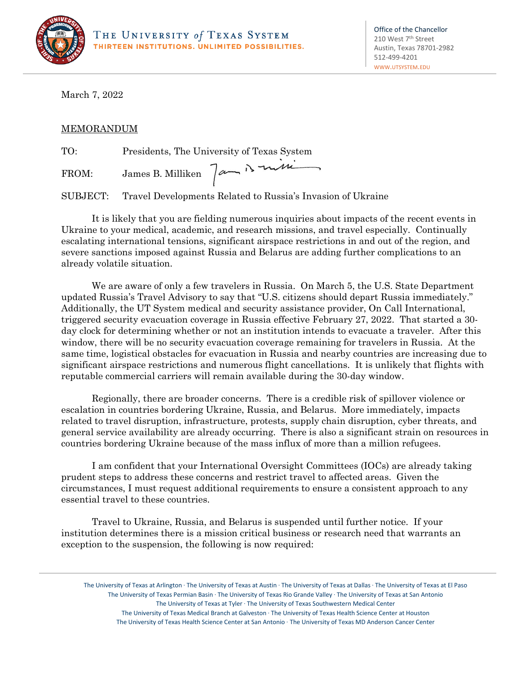

March 7, 2022

## MEMORANDUM

TO: Presidents, The University of Texas System

FROM: James B. Milliken  $\int a^{+}$  is nine

SUBJECT: Travel Developments Related to Russia's Invasion of Ukraine

It is likely that you are fielding numerous inquiries about impacts of the recent events in Ukraine to your medical, academic, and research missions, and travel especially. Continually escalating international tensions, significant airspace restrictions in and out of the region, and severe sanctions imposed against Russia and Belarus are adding further complications to an already volatile situation.

We are aware of only a few travelers in Russia. On March 5, the U.S. State Department updated Russia's Travel Advisory to say that "U.S. citizens should depart Russia immediately." Additionally, the UT System medical and security assistance provider, On Call International, triggered security evacuation coverage in Russia effective February 27, 2022. That started a 30 day clock for determining whether or not an institution intends to evacuate a traveler. After this window, there will be no security evacuation coverage remaining for travelers in Russia. At the same time, logistical obstacles for evacuation in Russia and nearby countries are increasing due to significant airspace restrictions and numerous flight cancellations. It is unlikely that flights with reputable commercial carriers will remain available during the 30-day window.

Regionally, there are broader concerns. There is a credible risk of spillover violence or escalation in countries bordering Ukraine, Russia, and Belarus. More immediately, impacts related to travel disruption, infrastructure, protests, supply chain disruption, cyber threats, and general service availability are already occurring. There is also a significant strain on resources in countries bordering Ukraine because of the mass influx of more than a million refugees.

I am confident that your International Oversight Committees (IOCs) are already taking prudent steps to address these concerns and restrict travel to affected areas. Given the circumstances, I must request additional requirements to ensure a consistent approach to any essential travel to these countries.

Travel to Ukraine, Russia, and Belarus is suspended until further notice. If your institution determines there is a mission critical business or research need that warrants an exception to the suspension, the following is now required:

The University of Texas at Arlington · The University of Texas at Austin · The University of Texas at Dallas · The University of Texas at El Paso The University of Texas Permian Basin · The University of Texas Rio Grande Valley · The University of Texas at San Antonio The University of Texas at Tyler · The University of Texas Southwestern Medical Center The University of Texas Medical Branch at Galveston · The University of Texas Health Science Center at Houston The University of Texas Health Science Center at San Antonio · The University of Texas MD Anderson Cancer Center